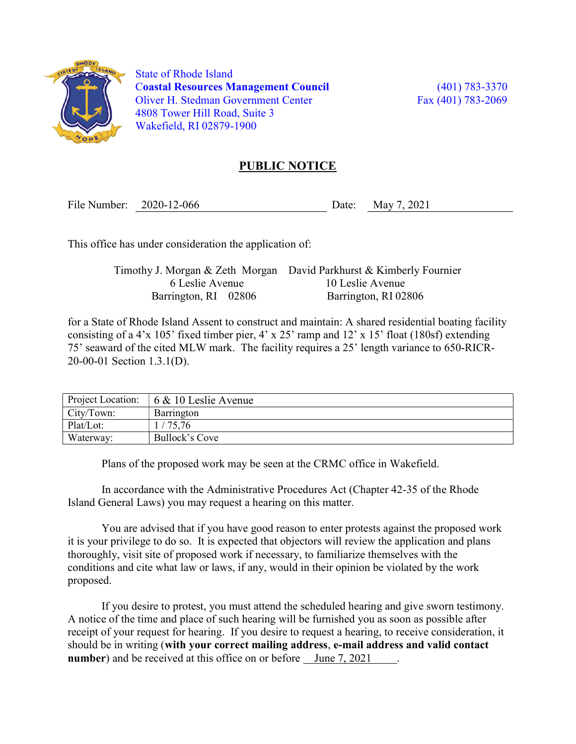

 State of Rhode Island Coastal Resources Management Council (401) 783-3370 Oliver H. Stedman Government Center Fax (401) 783-2069 4808 Tower Hill Road, Suite 3 Wakefield, RI 02879-1900

## PUBLIC NOTICE

File Number: 2020-12-066 Date: May 7, 2021

This office has under consideration the application of:

Timothy J. Morgan & Zeth Morgan David Parkhurst & Kimberly Fournier 6 Leslie Avenue 10 Leslie Avenue Barrington, RI 02806 Barrington, RI 02806

for a State of Rhode Island Assent to construct and maintain: A shared residential boating facility consisting of a 4'x 105' fixed timber pier, 4' x 25' ramp and 12' x 15' float (180sf) extending 75' seaward of the cited MLW mark. The facility requires a 25' length variance to 650-RICR-20-00-01 Section 1.3.1(D).

| Project Location: | $6 \& 10$ Leslie Avenue |
|-------------------|-------------------------|
| City/Town:        | Barrington              |
| Plat/Lot:         | '75,76                  |
| Waterway:         | Bullock's Cove          |

Plans of the proposed work may be seen at the CRMC office in Wakefield.

In accordance with the Administrative Procedures Act (Chapter 42-35 of the Rhode Island General Laws) you may request a hearing on this matter.

You are advised that if you have good reason to enter protests against the proposed work it is your privilege to do so. It is expected that objectors will review the application and plans thoroughly, visit site of proposed work if necessary, to familiarize themselves with the conditions and cite what law or laws, if any, would in their opinion be violated by the work proposed.

If you desire to protest, you must attend the scheduled hearing and give sworn testimony. A notice of the time and place of such hearing will be furnished you as soon as possible after receipt of your request for hearing. If you desire to request a hearing, to receive consideration, it should be in writing (with your correct mailing address, e-mail address and valid contact number) and be received at this office on or before June 7, 2021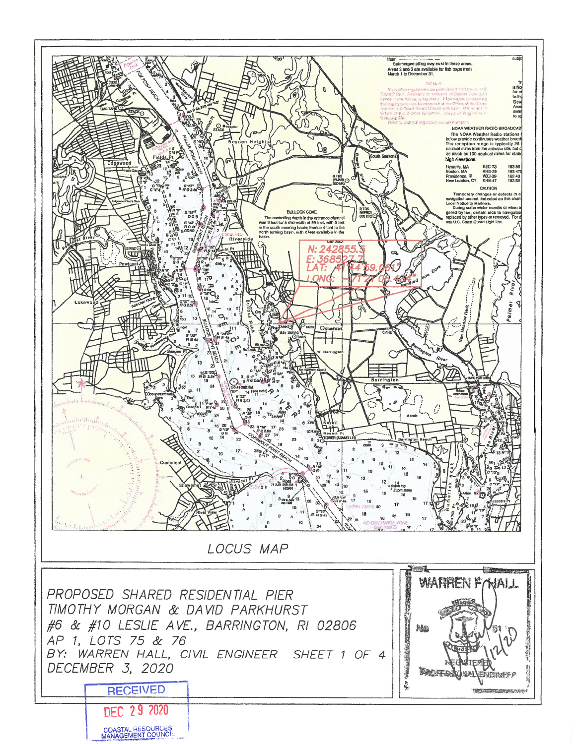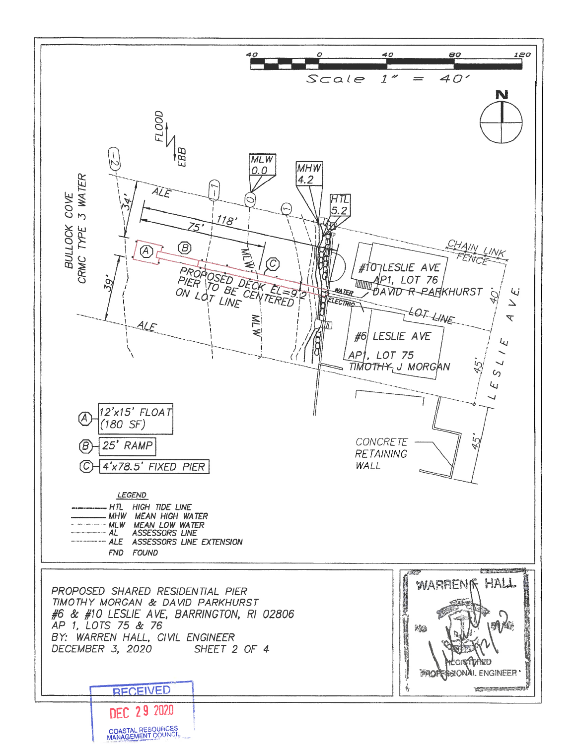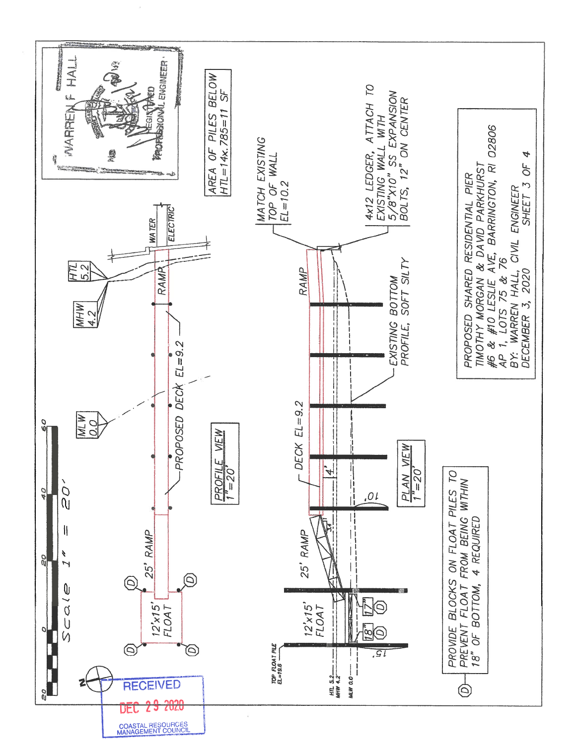